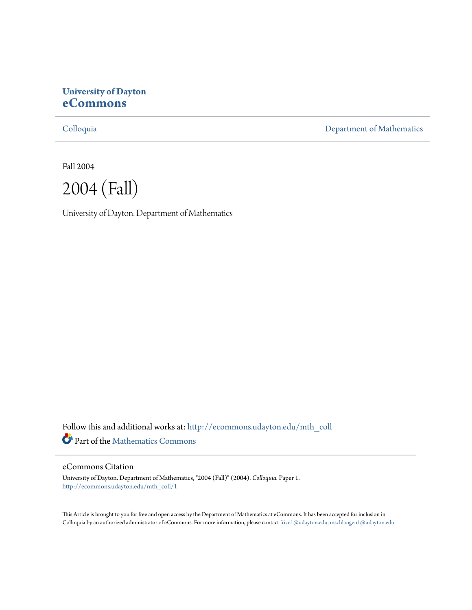## **University of Dayton [eCommons](http://ecommons.udayton.edu?utm_source=ecommons.udayton.edu%2Fmth_coll%2F1&utm_medium=PDF&utm_campaign=PDFCoverPages)**

[Colloquia](http://ecommons.udayton.edu/mth_coll?utm_source=ecommons.udayton.edu%2Fmth_coll%2F1&utm_medium=PDF&utm_campaign=PDFCoverPages) [Department of Mathematics](http://ecommons.udayton.edu/mth?utm_source=ecommons.udayton.edu%2Fmth_coll%2F1&utm_medium=PDF&utm_campaign=PDFCoverPages)

Fall 2004



University of Dayton. Department of Mathematics

Follow this and additional works at: [http://ecommons.udayton.edu/mth\\_coll](http://ecommons.udayton.edu/mth_coll?utm_source=ecommons.udayton.edu%2Fmth_coll%2F1&utm_medium=PDF&utm_campaign=PDFCoverPages) Part of the [Mathematics Commons](http://network.bepress.com/hgg/discipline/174?utm_source=ecommons.udayton.edu%2Fmth_coll%2F1&utm_medium=PDF&utm_campaign=PDFCoverPages)

#### eCommons Citation

University of Dayton. Department of Mathematics, "2004 (Fall)" (2004). *Colloquia.* Paper 1. [http://ecommons.udayton.edu/mth\\_coll/1](http://ecommons.udayton.edu/mth_coll/1?utm_source=ecommons.udayton.edu%2Fmth_coll%2F1&utm_medium=PDF&utm_campaign=PDFCoverPages)

This Article is brought to you for free and open access by the Department of Mathematics at eCommons. It has been accepted for inclusion in Colloquia by an authorized administrator of eCommons. For more information, please contact [frice1@udayton.edu, mschlangen1@udayton.edu.](mailto:frice1@udayton.edu,%20mschlangen1@udayton.edu)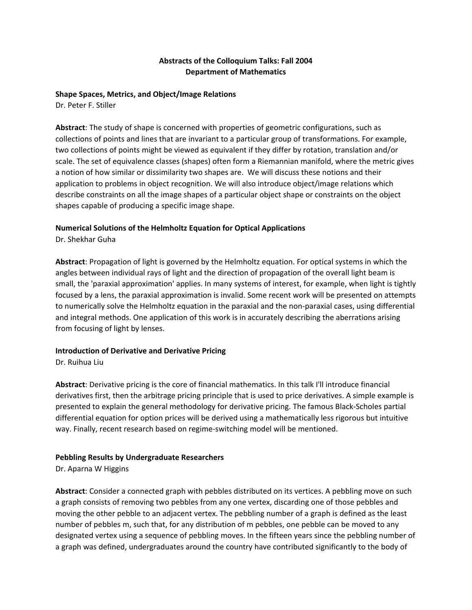## **Abstracts of the Colloquium Talks: Fall 2004 Department of Mathematics**

#### **Shape Spaces, Metrics, and Object/Image Relations**

Dr. Peter F. Stiller

**Abstract**: The study of shape is concerned with properties of geometric configurations, such as collections of points and lines that are invariant to a particular group of transformations. For example, two collections of points might be viewed as equivalent if they differ by rotation, translation and/or scale. The set of equivalence classes (shapes) often form a Riemannian manifold, where the metric gives a notion of how similar or dissimilarity two shapes are. We will discuss these notions and their application to problems in object recognition. We will also introduce object/image relations which describe constraints on all the image shapes of a particular object shape or constraints on the object shapes capable of producing a specific image shape.

## **Numerical Solutions of the Helmholtz Equation for Optical Applications**

Dr. Shekhar Guha

**Abstract**: Propagation of light is governed by the Helmholtz equation. For optical systems in which the angles between individual rays of light and the direction of propagation of the overall light beam is small, the 'paraxial approximation' applies. In many systems of interest, for example, when light is tightly focused by a lens, the paraxial approximation is invalid. Some recent work will be presented on attempts to numerically solve the Helmholtz equation in the paraxial and the non‐paraxial cases, using differential and integral methods. One application of this work is in accurately describing the aberrations arising from focusing of light by lenses.

## **Introduction of Derivative and Derivative Pricing**

Dr. Ruihua Liu

**Abstract**: Derivative pricing is the core of financial mathematics. In this talk I'll introduce financial derivatives first, then the arbitrage pricing principle that is used to price derivatives. A simple example is presented to explain the general methodology for derivative pricing. The famous Black‐Scholes partial differential equation for option prices will be derived using a mathematically less rigorous but intuitive way. Finally, recent research based on regime‐switching model will be mentioned.

## **Pebbling Results by Undergraduate Researchers**

Dr. Aparna W Higgins

**Abstract**: Consider a connected graph with pebbles distributed on its vertices. A pebbling move on such a graph consists of removing two pebbles from any one vertex, discarding one of those pebbles and moving the other pebble to an adjacent vertex. The pebbling number of a graph is defined as the least number of pebbles m, such that, for any distribution of m pebbles, one pebble can be moved to any designated vertex using a sequence of pebbling moves. In the fifteen years since the pebbling number of a graph was defined, undergraduates around the country have contributed significantly to the body of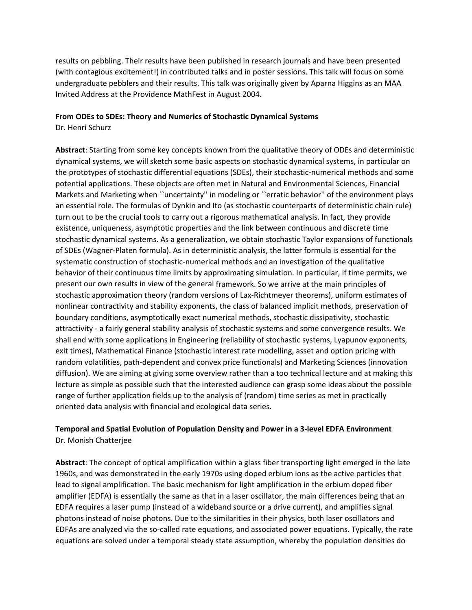results on pebbling. Their results have been published in research journals and have been presented (with contagious excitement!) in contributed talks and in poster sessions. This talk will focus on some undergraduate pebblers and their results. This talk was originally given by Aparna Higgins as an MAA Invited Address at the Providence MathFest in August 2004.

#### **From ODEs to SDEs: Theory and Numerics of Stochastic Dynamical Systems**

Dr. Henri Schurz

**Abstract**: Starting from some key concepts known from the qualitative theory of ODEs and deterministic dynamical systems, we will sketch some basic aspects on stochastic dynamical systems, in particular on the prototypes of stochastic differential equations (SDEs), their stochastic‐numerical methods and some potential applications. These objects are often met in Natural and Environmental Sciences, Financial Markets and Marketing when ``uncertainty'' in modeling or ``erratic behavior'' of the environment plays an essential role. The formulas of Dynkin and Ito (as stochastic counterparts of deterministic chain rule) turn out to be the crucial tools to carry out a rigorous mathematical analysis. In fact, they provide existence, uniqueness, asymptotic properties and the link between continuous and discrete time stochastic dynamical systems. As a generalization, we obtain stochastic Taylor expansions of functionals of SDEs (Wagner‐Platen formula). As in deterministic analysis, the latter formula is essential for the systematic construction of stochastic‐numerical methods and an investigation of the qualitative behavior of their continuous time limits by approximating simulation. In particular, if time permits, we present our own results in view of the general framework. So we arrive at the main principles of stochastic approximation theory (random versions of Lax‐Richtmeyer theorems), uniform estimates of nonlinear contractivity and stability exponents, the class of balanced implicit methods, preservation of boundary conditions, asymptotically exact numerical methods, stochastic dissipativity, stochastic attractivity ‐ a fairly general stability analysis of stochastic systems and some convergence results. We shall end with some applications in Engineering (reliability of stochastic systems, Lyapunov exponents, exit times), Mathematical Finance (stochastic interest rate modelling, asset and option pricing with random volatilities, path‐dependent and convex price functionals) and Marketing Sciences (innovation diffusion). We are aiming at giving some overview rather than a too technical lecture and at making this lecture as simple as possible such that the interested audience can grasp some ideas about the possible range of further application fields up to the analysis of (random) time series as met in practically oriented data analysis with financial and ecological data series.

## **Temporal and Spatial Evolution of Population Density and Power in a 3‐level EDFA Environment** Dr. Monish Chatterjee

**Abstract**: The concept of optical amplification within a glass fiber transporting light emerged in the late 1960s, and was demonstrated in the early 1970s using doped erbium ions as the active particles that lead to signal amplification. The basic mechanism for light amplification in the erbium doped fiber amplifier (EDFA) is essentially the same as that in a laser oscillator, the main differences being that an EDFA requires a laser pump (instead of a wideband source or a drive current), and amplifies signal photons instead of noise photons. Due to the similarities in their physics, both laser oscillators and EDFAs are analyzed via the so‐called rate equations, and associated power equations. Typically, the rate equations are solved under a temporal steady state assumption, whereby the population densities do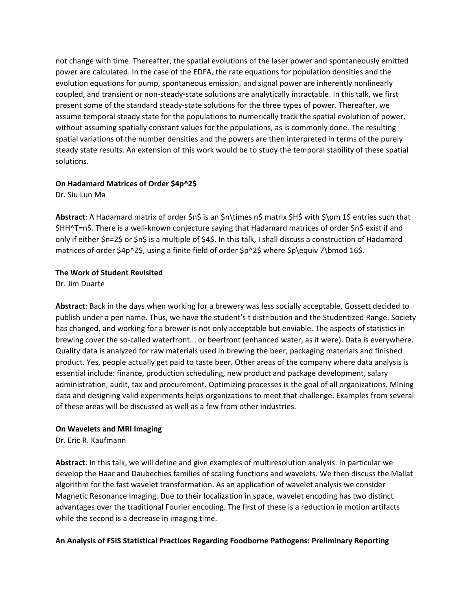not change with time. Thereafter, the spatial evolutions of the laser power and spontaneously emitted power are calculated. In the case of the EDFA, the rate equations for population densities and the evolution equations for pump, spontaneous emission, and signal power are inherently nonlinearly coupled, and transient or non‐steady‐state solutions are analytically intractable. In this talk, we first present some of the standard steady‐state solutions for the three types of power. Thereafter, we assume temporal steady state for the populations to numerically track the spatial evolution of power, without assuming spatially constant values for the populations, as is commonly done. The resulting spatial variations of the number densities and the powers are then interpreted in terms of the purely steady state results. An extension of this work would be to study the temporal stability of these spatial solutions.

## **On Hadamard Matrices of Order \$4p^2\$**

Dr. Siu Lun Ma

**Abstract**: A Hadamard matrix of order \$n\$ is an \$n\times n\$ matrix \$H\$ with \$\pm 1\$ entries such that \$HH^T=n\$. There is a well-known conjecture saying that Hadamard matrices of order \$n\$ exist if and only if either \$n=2\$ or \$n\$ is a multiple of \$4\$. In this talk, I shall discuss a construction of Hadamard matrices of order \$4p^2\$, using a finite field of order \$p^2\$ where \$p\equiv 7\bmod 16\$.

## **The Work of Student Revisited**

Dr. Jim Duarte

**Abstract**: Back in the days when working for a brewery was less socially acceptable, Gossett decided to publish under a pen name. Thus, we have the student's t distribution and the Studentized Range. Society has changed, and working for a brewer is not only acceptable but enviable. The aspects of statistics in brewing cover the so-called waterfront... or beerfront (enhanced water, as it were). Data is everywhere. Quality data is analyzed for raw materials used in brewing the beer, packaging materials and finished product. Yes, people actually get paid to taste beer. Other areas of the company where data analysis is essential include: finance, production scheduling, new product and package development, salary administration, audit, tax and procurement. Optimizing processes is the goal of all organizations. Mining data and designing valid experiments helps organizations to meet that challenge. Examples from several of these areas will be discussed as well as a few from other industries.

## **On Wavelets and MRI Imaging**

Dr. Eric R. Kaufmann

**Abstract**: In this talk, we will define and give examples of multiresolution analysis. In particular we develop the Haar and Daubechies families of scaling functions and wavelets. We then discuss the Mallat algorithm for the fast wavelet transformation. As an application of wavelet analysis we consider Magnetic Resonance Imaging. Due to their localization in space, wavelet encoding has two distinct advantages over the traditional Fourier encoding. The first of these is a reduction in motion artifacts while the second is a decrease in imaging time.

## **An Analysis of FSIS Statistical Practices Regarding Foodborne Pathogens: Preliminary Reporting**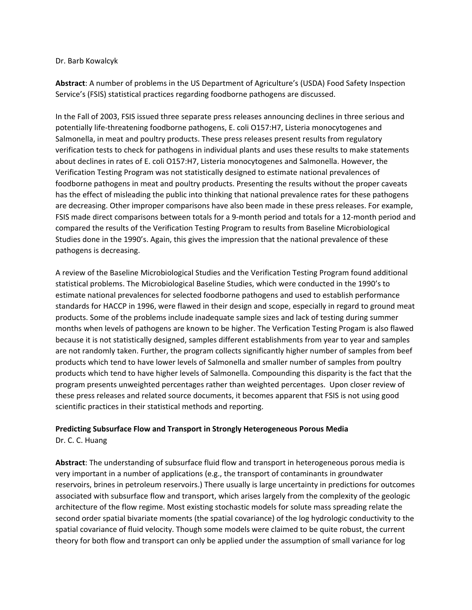#### Dr. Barb Kowalcyk

**Abstract**: A number of problems in the US Department of Agriculture's (USDA) Food Safety Inspection Service's (FSIS) statistical practices regarding foodborne pathogens are discussed.

In the Fall of 2003, FSIS issued three separate press releases announcing declines in three serious and potentially life‐threatening foodborne pathogens, E. coli O157:H7, Listeria monocytogenes and Salmonella, in meat and poultry products. These press releases present results from regulatory verification tests to check for pathogens in individual plants and uses these results to make statements about declines in rates of E. coli O157:H7, Listeria monocytogenes and Salmonella. However, the Verification Testing Program was not statistically designed to estimate national prevalences of foodborne pathogens in meat and poultry products. Presenting the results without the proper caveats has the effect of misleading the public into thinking that national prevalence rates for these pathogens are decreasing. Other improper comparisons have also been made in these press releases. For example, FSIS made direct comparisons between totals for a 9‐month period and totals for a 12‐month period and compared the results of the Verification Testing Program to results from Baseline Microbiological Studies done in the 1990's. Again, this gives the impression that the national prevalence of these pathogens is decreasing.

A review of the Baseline Microbiological Studies and the Verification Testing Program found additional statistical problems. The Microbiological Baseline Studies, which were conducted in the 1990's to estimate national prevalences for selected foodborne pathogens and used to establish performance standards for HACCP in 1996, were flawed in their design and scope, especially in regard to ground meat products. Some of the problems include inadequate sample sizes and lack of testing during summer months when levels of pathogens are known to be higher. The Verfication Testing Progam is also flawed because it is not statistically designed, samples different establishments from year to year and samples are not randomly taken. Further, the program collects significantly higher number of samples from beef products which tend to have lower levels of Salmonella and smaller number of samples from poultry products which tend to have higher levels of Salmonella. Compounding this disparity is the fact that the program presents unweighted percentages rather than weighted percentages. Upon closer review of these press releases and related source documents, it becomes apparent that FSIS is not using good scientific practices in their statistical methods and reporting.

# **Predicting Subsurface Flow and Transport in Strongly Heterogeneous Porous Media**

Dr. C. C. Huang

**Abstract**: The understanding of subsurface fluid flow and transport in heterogeneous porous media is very important in a number of applications (e.g., the transport of contaminants in groundwater reservoirs, brines in petroleum reservoirs.) There usually is large uncertainty in predictions for outcomes associated with subsurface flow and transport, which arises largely from the complexity of the geologic architecture of the flow regime. Most existing stochastic models for solute mass spreading relate the second order spatial bivariate moments (the spatial covariance) of the log hydrologic conductivity to the spatial covariance of fluid velocity. Though some models were claimed to be quite robust, the current theory for both flow and transport can only be applied under the assumption of small variance for log